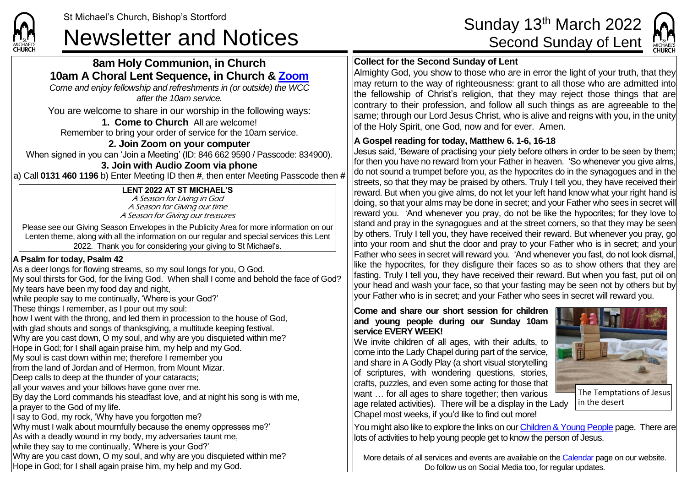# **8am Holy Communion, in Church 10am A Choral Lent Sequence, in Church & [Zoom](https://zoom.us/)**

*Come and enjoy fellowship and refreshments in (or outside) the WCC after the 10am service.*

You are welcome to share in our worship in the following ways:

**1. Come to Church** All are welcome! Remember to bring your order of service for the 10am service.

## **2. Join Zoom on your computer**

When signed in you can 'Join a Meeting' (ID: 846 662 9590 / Passcode: 834900). **3. Join with Audio Zoom via phone**

a) Call **0131 460 1196** b) Enter Meeting ID then **#**, then enter Meeting Passcode then **#**

#### **LENT 2022 AT ST MICHAEL'S**

A Season for Living in God A Season for Giving our time A Season for Giving our treasures

Please see our Giving Season Envelopes in the Publicity Area for more information on our Lenten theme, along with all the information on our regular and special services this Lent 2022. Thank you for considering your giving to St Michael's.

### **A Psalm for today, Psalm 42**

As a deer longs for flowing streams, so my soul longs for you, O God. My soul thirsts for God, for the living God. When shall I come and behold the face of God? My tears have been my food day and night, while people say to me continually, 'Where is your God?' These things I remember, as I pour out my soul: how I went with the throng, and led them in procession to the house of God, with glad shouts and songs of thanksgiving, a multitude keeping festival. Why are you cast down, O my soul, and why are you disquieted within me? Hope in God; for I shall again praise him, my help and my God. My soul is cast down within me; therefore I remember you from the land of Jordan and of Hermon, from Mount Mizar. Deep calls to deep at the thunder of your cataracts; all your waves and your billows have gone over me. By day the Lord commands his steadfast love, and at night his song is with me, a prayer to the God of my life. I say to God, my rock, 'Why have you forgotten me? Why must I walk about mournfully because the enemy oppresses me?' As with a deadly wound in my body, my adversaries taunt me, while they say to me continually, 'Where is your God?' Why are you cast down, O my soul, and why are you disquieted within me? Hope in God; for I shall again praise him, my help and my God.

# St Michael's Church, Bishop's Stortford Sunday 13<sup>th</sup> March 2022<br>Newsletter and Notices Second Sunday of Lent



## **Collect for the Second Sunday of Lent**

Almighty God, you show to those who are in error the light of your truth, that they may return to the way of righteousness: grant to all those who are admitted into the fellowship of Christ's religion, that they may reject those things that are contrary to their profession, and follow all such things as are agreeable to the same; through our Lord Jesus Christ, who is alive and reigns with you, in the unity of the Holy Spirit, one God, now and for ever. Amen.

## **A Gospel reading for today, Matthew 6. 1-6, 16-18**

Jesus said, 'Beware of practising your piety before others in order to be seen by them; for then you have no reward from your Father in heaven. 'So whenever you give alms, do not sound a trumpet before you, as the hypocrites do in the synagogues and in the streets, so that they may be praised by others. Truly I tell you, they have received their reward. But when you give alms, do not let your left hand know what your right hand is doing, so that your alms may be done in secret; and your Father who sees in secret will reward you. 'And whenever you pray, do not be like the hypocrites; for they love to stand and pray in the synagogues and at the street corners, so that they may be seen by others. Truly I tell you, they have received their reward. But whenever you pray, go into your room and shut the door and pray to your Father who is in secret; and your Father who sees in secret will reward you. 'And whenever you fast, do not look dismal, like the hypocrites, for they disfigure their faces so as to show others that they are fasting. Truly I tell you, they have received their reward. But when you fast, put oil on your head and wash your face, so that your fasting may be seen not by others but by your Father who is in secret; and your Father who sees in secret will reward you.

#### **Come and share our short session for children and young people during our Sunday 10am service EVERY WEEK!**

We invite children of all ages, with their adults, to come into the Lady Chapel during part of the service, and share in A Godly Play (a short visual storytelling of scriptures, with wondering questions, stories, crafts, puzzles, and even some acting for those that want … for all ages to share together; then various age related activities). There will be a display in the Lady Chapel most weeks, if you'd like to find out more!



in the desert

You might also like to explore the links on our [Children & Young People](https://saintmichaelweb.org.uk/Groups/310496/Children_and_Young.aspx) page. There are lots of activities to help young people get to know the person of Jesus.

More details of all services and events are available on the [Calendar](https://saintmichaelweb.org.uk/calendar/month.aspx) page on our website. Do follow us on Social Media too, for regular updates.